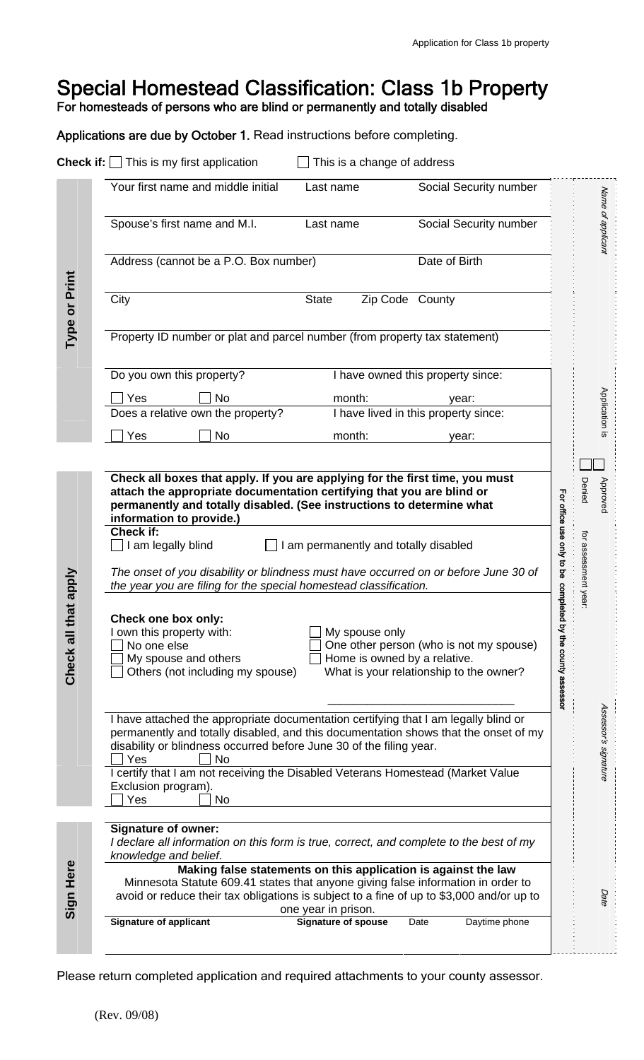# Special Homestead Classification: Class 1b Property

For homesteads of persons who are blind or permanently and totally disabled

Applications are due by October 1. Read instructions before completing.

|                         | <b>Check if:</b> $\Box$ This is my first application                                                                                                                                                                                                                  | This is a change of address                    |                                                                                    |                                     |                      |
|-------------------------|-----------------------------------------------------------------------------------------------------------------------------------------------------------------------------------------------------------------------------------------------------------------------|------------------------------------------------|------------------------------------------------------------------------------------|-------------------------------------|----------------------|
|                         | Your first name and middle initial                                                                                                                                                                                                                                    | Last name                                      | Social Security number                                                             |                                     |                      |
| Type or Print           | Spouse's first name and M.I.                                                                                                                                                                                                                                          | Last name                                      | Social Security number                                                             |                                     | Name of applicant    |
|                         | Address (cannot be a P.O. Box number)                                                                                                                                                                                                                                 |                                                | Date of Birth                                                                      |                                     |                      |
|                         | City<br><b>State</b>                                                                                                                                                                                                                                                  | Zip Code County                                |                                                                                    |                                     |                      |
|                         | Property ID number or plat and parcel number (from property tax statement)                                                                                                                                                                                            |                                                |                                                                                    |                                     |                      |
|                         | Do you own this property?                                                                                                                                                                                                                                             |                                                | I have owned this property since:                                                  |                                     |                      |
|                         | Yes<br>No                                                                                                                                                                                                                                                             | month:                                         | year:                                                                              |                                     | Application is       |
|                         | Does a relative own the property?                                                                                                                                                                                                                                     |                                                | I have lived in this property since:                                               |                                     |                      |
|                         | No<br>Yes                                                                                                                                                                                                                                                             | month:                                         | year:                                                                              |                                     |                      |
|                         |                                                                                                                                                                                                                                                                       |                                                |                                                                                    |                                     |                      |
| that apply<br>Check all | Check all boxes that apply. If you are applying for the first time, you must<br>attach the appropriate documentation certifying that you are blind or<br>permanently and totally disabled. (See instructions to determine what<br>information to provide.)            |                                                |                                                                                    |                                     | Denied<br>Approved   |
|                         | Check if:<br>$\Box$ I am legally blind<br>I am permanently and totally disabled                                                                                                                                                                                       |                                                |                                                                                    |                                     |                      |
|                         | The onset of you disability or blindness must have occurred on or before June 30 of<br>the year you are filing for the special homestead classification.                                                                                                              |                                                |                                                                                    | For office use only to be           | for assessment year: |
|                         | Check one box only:<br>I own this property with:<br>No one else<br>My spouse and others<br>Others (not including my spouse)                                                                                                                                           | My spouse only<br>Home is owned by a relative. | One other person (who is not my spouse)<br>What is your relationship to the owner? | completed<br>by the county assessor |                      |
|                         | I have attached the appropriate documentation certifying that I am legally blind or<br>permanently and totally disabled, and this documentation shows that the onset of my<br>disability or blindness occurred before June 30 of the filing year.<br>Yes<br>No        |                                                |                                                                                    |                                     | Assessor's signature |
|                         | I certify that I am not receiving the Disabled Veterans Homestead (Market Value<br>Exclusion program).<br>Yes<br>No                                                                                                                                                   |                                                |                                                                                    |                                     |                      |
| Sign Here               | <b>Signature of owner:</b><br>I declare all information on this form is true, correct, and complete to the best of my<br>knowledge and belief.                                                                                                                        |                                                |                                                                                    |                                     |                      |
|                         | Making false statements on this application is against the law<br>Minnesota Statute 609.41 states that anyone giving false information in order to<br>avoid or reduce their tax obligations is subject to a fine of up to \$3,000 and/or up to<br>one year in prison. |                                                |                                                                                    |                                     | Date                 |
|                         | <b>Signature of applicant</b>                                                                                                                                                                                                                                         | <b>Signature of spouse</b>                     | Daytime phone<br>Date                                                              |                                     |                      |

Please return completed application and required attachments to your county assessor.